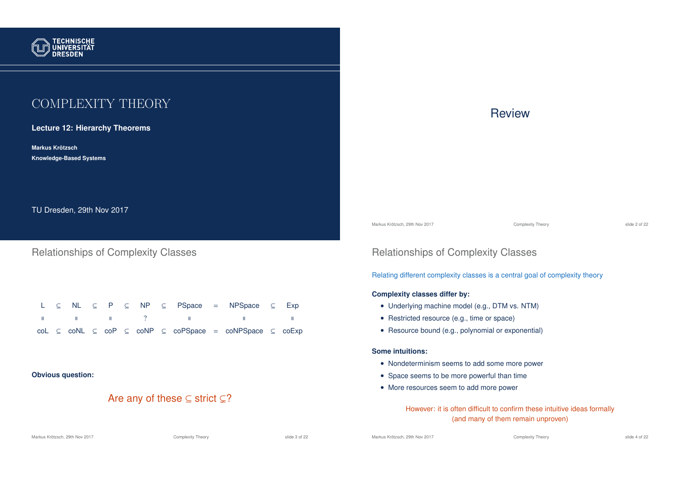

# COMPLEXITY THEORY

#### **Lecture 12: Hierarchy Theorems**

**Markus Krotzsch ¨ Knowledge-Based Systems**

TU Dresden, 29th Nov 2017

### Relationships of Complexity Classes

|  |  |  |  |  | $L \subseteq NL \subseteq P \subseteq NP \subseteq P$ Space = NPSpace $\subseteq Exp$                                                                                                                                                                                                      |  |
|--|--|--|--|--|--------------------------------------------------------------------------------------------------------------------------------------------------------------------------------------------------------------------------------------------------------------------------------------------|--|
|  |  |  |  |  | $\mathbb{R}$ and $\mathbb{R}$ are the $\mathbb{R}$ and $\mathbb{R}$ are the $\mathbb{R}$ and $\mathbb{R}$ are the $\mathbb{R}$ and $\mathbb{R}$ are the $\mathbb{R}$ and $\mathbb{R}$ are the $\mathbb{R}$ and $\mathbb{R}$ are the $\mathbb{R}$ are the $\mathbb{R}$ are the $\mathbb{R}$ |  |
|  |  |  |  |  | $col \subseteq col \subseteq col$ $\subseteq col$ $\subseteq col$ $\subseteq col$ $\subseteq col$ $\subseteq col$ $\subseteq col$                                                                                                                                                          |  |

#### **Obvious question:**

## Are any of these  $\subseteq$  strict  $\subsetneq$ ?

#### Markus Krötzsch, 29th Nov 2017 **Complexity Theory** Complexity Theory slide 3 of 22

# **Review**

Markus Krötzsch, 29th Nov 2017 Complexity Theory slide 2 of 22

# Relationships of Complexity Classes

Relating different complexity classes is a central goal of complexity theory

#### **Complexity classes differ by:**

- Underlying machine model (e.g., DTM vs. NTM)
- Restricted resource (e.g., time or space)
- Resource bound (e.g., polynomial or exponential)

#### **Some intuitions:**

- Nondeterminism seems to add some more power
- Space seems to be more powerful than time
- More resources seem to add more power

However: it is often difficult to confirm these intuitive ideas formally (and many of them remain unproven)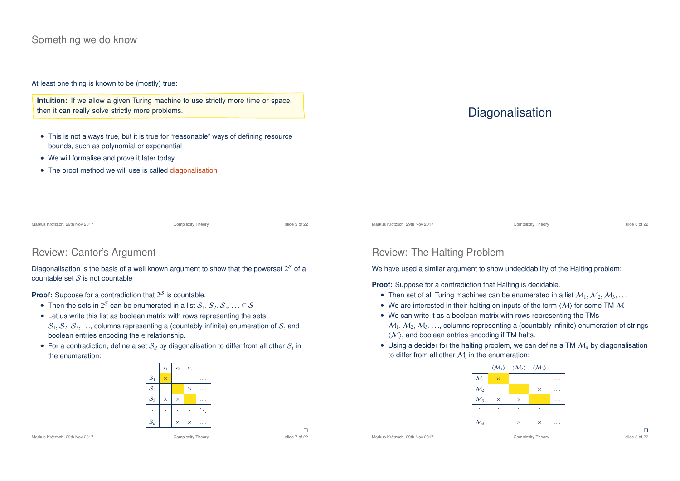### Something we do know

At least one thing is known to be (mostly) true:

**Intuition:** If we allow a given Turing machine to use strictly more time or space, then it can really solve strictly more problems.

• This is not always true, but it is true for "reasonable" ways of defining resource bounds, such as polynomial or exponential

Diagonalisation is the basis of a well known argument to show that the powerset  $2^{\mathcal{S}}$  of a

 $S_1, S_2, S_3, \ldots$  columns representing a (countably infinite) enumeration of S, and

• For a contradiction, define a set  $\mathcal{S}_d$  by diagonalisation to differ from all other  $\mathcal{S}_i$  in

• Then the sets in  $2^S$  can be enumerated in a list  $\mathcal{S}_1, \mathcal{S}_2, \mathcal{S}_3, \ldots \subseteq \mathcal{S}$ • Let us write this list as boolean matrix with rows representing the sets

• We will formalise and prove it later today

Review: Cantor's Argument

**Proof:** Suppose for a contradiction that  $2<sup>S</sup>$  is countable.

boolean entries encoding the  $\in$  relationship.

 $countable set S is not countable$ 

the enumeration:

• The proof method we will use is called diagonalisation

# **Diagonalisation**

Markus Krötzsch, 29th Nov 2017 Complexity Theory slide 5 of 22

Markus Krötzsch, 29th Nov 2017 Complexity Theory slide 6 of 22

# Review: The Halting Problem

We have used a similar argument to show undecidability of the Halting problem:

**Proof:** Suppose for a contradiction that Halting is decidable.

- Then set of all Turing machines can be enumerated in a list  $M_1, M_2, M_3, \ldots$
- We are interested in their halting on inputs of the form  $\langle M \rangle$  for some TM M
- We can write it as a boolean matrix with rows representing the TMs  $M_1, M_2, M_3, \ldots$ , columns representing a (countably infinite) enumeration of strings  $\langle M \rangle$ , and boolean entries encoding if TM halts.
- Using a decider for the halting problem, we can define a TM  $M_d$  by diagonalisation to differ from all other  $\mathcal{M}_i$  in the enumeration:

|                 | $\langle M_1 \rangle$ | $\langle M_2 \rangle$ | $\langle M_3 \rangle$ |  |
|-----------------|-----------------------|-----------------------|-----------------------|--|
| $\mathcal{M}_1$ | $\times$              |                       |                       |  |
| M <sub>2</sub>  |                       |                       | $\times$              |  |
| $M_3$           | $\times$              | $\times$              |                       |  |
|                 |                       |                       |                       |  |
| $\mathcal{M}_d$ |                       | $\times$              | $\times$              |  |

|                 | $s_1$    | s <sub>2</sub> | s <sub>3</sub> |  |
|-----------------|----------|----------------|----------------|--|
| $S_1$           | $\times$ |                |                |  |
| $\mathcal{S}_2$ |          |                | $\times$       |  |
| S <sub>3</sub>  | $\times$ | $\times$       |                |  |
|                 |          |                |                |  |
| $S_d$           |          | $\times$       | $\times$       |  |

Markus Krötzsch, 29th Nov 2017 Complexity Theory

 $\square$ <br>slide 7 of 22

Markus Krötzsch, 29th Nov 2017 Complexity Theory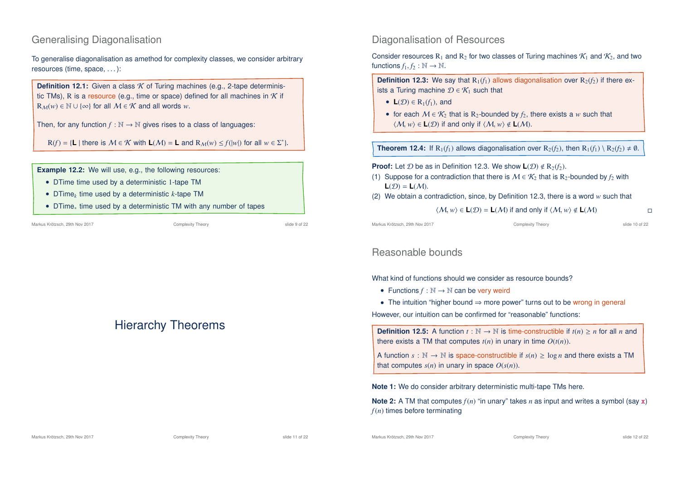# Generalising Diagonalisation

To generalise diagonalisation as amethod for complexity classes, we consider arbitrary resources (time, space, . . . ):

**Definition 12.1:** Given a class *K* of Turing machines (e.g., 2-tape deterministic TMs), R is a resource (e.g., time or space) defined for all machines in  $K$  if  $R_M(w) \in \mathbb{N} \cup \{\infty\}$  for all  $M \in \mathcal{K}$  and all words *w*.

Then, for any function  $f : \mathbb{N} \to \mathbb{N}$  gives rises to a class of languages:

 $R(f) = \{L \mid \text{there is } M \in \mathcal{K} \text{ with } L(\mathcal{M}) = L \text{ and } R_{\mathcal{M}}(w) \leq f(|w|) \text{ for all } w \in \Sigma^*\}.$ 

**Example 12.2:** We will use, e.g., the following resources:

- DTime time used by a deterministic 1-tape TM
- DTime*<sup>k</sup>* time used by a deterministic *k*-tape TM
- DTime<sup>∗</sup> time used by a deterministic TM with any number of tapes

# Hierarchy Theorems

### Diagonalisation of Resources

Consider resources R<sub>1</sub> and R<sub>2</sub> for two classes of Turing machines  $\mathcal{K}_1$  and  $\mathcal{K}_2$ , and two functions  $f_1, f_2 : \mathbb{N} \to \mathbb{N}$ .

**Definition 12.3:** We say that  $R_1(f_1)$  allows diagonalisation over  $R_2(f_2)$  if there exists a Turing machine  $\mathcal{D} \in \mathcal{K}_1$  such that

- **L** $(D) \in R_1(f_1)$ , and
- for each  $M \in \mathcal{K}_2$  that is R<sub>2</sub>-bounded by  $f_2$ , there exists a *w* such that  $\langle M, w \rangle \in L(\mathcal{D})$  if and only if  $\langle M, w \rangle \notin L(\mathcal{M})$ .

**Theorem 12.4:** If  $R_1(f_1)$  allows diagonalisation over  $R_2(f_2)$ , then  $R_1(f_1) \setminus R_2(f_2) \neq \emptyset$ .

#### **Proof:** Let  $D$  be as in Definition 12.3. We show  $\mathbf{L}(\mathcal{D}) \notin \mathbb{R}_{2}(f_{2})$ .

- (1) Suppose for a contradiction that there is  $M \in \mathcal{K}_2$  that is R<sub>2</sub>-bounded by  $f_2$  with  $L(\mathcal{D}) = L(M)$ .
- (2) We obtain a contradiction, since, by Definition 12.3, there is a word *w* such that

$$
\langle \mathcal{M}, w \rangle \in L(\mathcal{D}) = L(\mathcal{M}) \text{ if and only if } \langle \mathcal{M}, w \rangle \notin L(\mathcal{M})
$$

Markus Krötzsch, 29th Nov 2017 Complexity Theory slide 10 of 22

### Reasonable bounds

#### What kind of functions should we consider as resource bounds?

- Functions  $f : \mathbb{N} \to \mathbb{N}$  can be very weird
- The intuition "higher bound ⇒ more power" turns out to be wrong in general

However, our intuition can be confirmed for "reasonable" functions:

**Definition 12.5:** A function  $t : \mathbb{N} \to \mathbb{N}$  is time-constructible if  $t(n) \geq n$  for all *n* and there exists a TM that computes  $t(n)$  in unary in time  $O(t(n))$ .

A function  $s : \mathbb{N} \to \mathbb{N}$  is space-constructible if  $s(n) > \log n$  and there exists a TM that computes  $s(n)$  in unary in space  $O(s(n))$ .

**Note 1:** We do consider arbitrary deterministic multi-tape TMs here.

**Note 2:** A TM that computes  $f(n)$  "in unary" takes *n* as input and writes a symbol (say x) *f*(*n*) times before terminating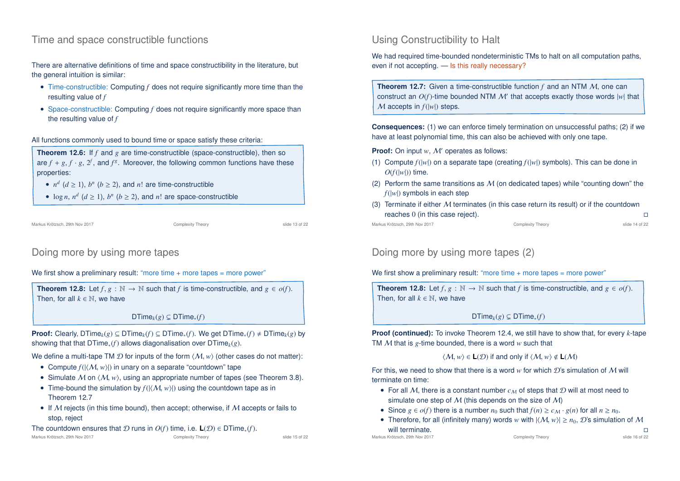# Time and space constructible functions

There are alternative definitions of time and space constructibility in the literature, but the general intuition is similar:

- Time-constructible: Computing *f* does not require significantly more time than the resulting value of *f*
- Space-constructible: Computing *f* does not require significantly more space than the resulting value of *f*

All functions commonly used to bound time or space satisfy these criteria:

**Theorem 12.6:** If *f* and *g* are time-constructible (space-constructible), then so are  $f + g, f \cdot g, 2^f$ , and  $f^g$ . Moreover, the following common functions have these properties:

- $n^d$  ( $d \ge 1$ ),  $b^n$  ( $b \ge 2$ ), and  $n!$  are time-constructible
- $\log n$ ,  $n^d$  ( $d \ge 1$ ),  $b^n$  ( $b \ge 2$ ), and  $n!$  are space-constructible

```
Markus Krötzsch, 29th Nov 2017 Complexity Theory slide 13 of 22
```
# Doing more by using more tapes

We first show a preliminary result: "more time + more tapes = more power"

**Theorem 12.8:** Let  $f, g : \mathbb{N} \to \mathbb{N}$  such that  $f$  is time-constructible, and  $g \in o(f)$ . Then, for all  $k \in \mathbb{N}$ , we have

 $DTime<sub>k</sub>(g) \subseteq DTime<sub>*</sub>(f)$ 

**Proof:** Clearly, DTime<sub>k</sub>(*g*) ⊆ DTime<sub>k</sub>(*f*) ⊆ DTime<sub>\*</sub>(*f*). We get DTime<sub>\*</sub>(*f*) ≠ DTime<sub>k</sub>(*g*) by showing that that DTime<sub>∗</sub>(*f*) allows diagonalisation over DTime<sub>k</sub>(*g*).

We define a multi-tape TM  $\mathcal D$  for inputs of the form  $\langle \mathcal M, w \rangle$  (other cases do not matter):

- Compute  $f(|\langle M, w \rangle|)$  in unary on a separate "countdown" tape
- Simulate M on  $\langle M, w \rangle$ , using an appropriate number of tapes (see Theorem 3.8).
- Time-bound the simulation by  $f(|\langle M, w \rangle|)$  using the countdown tape as in Theorem 12.7
- If  $M$  rejects (in this time bound), then accept; otherwise, if  $M$  accepts or fails to stop, reject

The countdown ensures that  $D$  runs in  $O(f)$  time, i.e.  $L(D) \in DTime_*(f)$ .<br>Markus Krötzsch. 29th Nov 2017<br>Complexity Theory

Markus Krötzsch, 29th Nov 2017 Complexity Theory slide 15 of 22

# Using Constructibility to Halt

We had required time-bounded nondeterministic TMs to halt on all computation paths, even if not accepting. — Is this really necessary?

**Theorem 12.7:** Given a time-constructible function *f* and an NTM *M*, one can construct an  $O(f)$ -time bounded NTM  $\mathcal{M}'$  that accepts exactly those words  $|w|$  that M accepts in *f*(|*w*|) steps.

**Consequences:** (1) we can enforce timely termination on unsuccessful paths; (2) if we have at least polynomial time, this can also be achieved with only one tape.

**Proof:** On input *w*, *M'* operates as follows:

- (1) Compute  $f(|w|)$  on a separate tape (creating  $f(|w|)$  symbols). This can be done in  $O(f(|w|))$  time.
- (2) Perform the same transitions as  $M$  (on dedicated tapes) while "counting down" the *f*(|*w*|) symbols in each step
- (3) Terminate if either  $M$  terminates (in this case return its result) or if the countdown reaches 0 (in this case reject).

Markus Krötzsch, 29th Nov 2017 Complexity Theory slide 14 of 22

Doing more by using more tapes (2)

We first show a preliminary result: "more time + more tapes = more power"

**Theorem 12.8:** Let  $f, g : \mathbb{N} \to \mathbb{N}$  such that  $f$  is time-constructible, and  $g \in o(f)$ . Then, for all  $k \in \mathbb{N}$ , we have

 $DTime<sub>k</sub>(g) \subseteq DTime<sub>*</sub>(f)$ 

**Proof (continued):** To invoke Theorem 12.4, we still have to show that, for every *k*-tape TM M that is *g*-time bounded, there is a word *w* such that

### $\langle M, w \rangle \in L(\mathcal{D})$  if and only if  $\langle M, w \rangle \notin L(\mathcal{M})$

For this, we need to show that there is a word  $w$  for which  $\mathcal{D}$ 's simulation of M will terminate on time:

- For all M, there is a constant number  $c_M$  of steps that  $D$  will at most need to simulate one step of  $M$  (this depends on the size of  $M$ )
- Since  $g \in o(f)$  there is a number  $n_0$  such that  $f(n) \ge c_M \cdot g(n)$  for all  $n \ge n_0$ .
- Therefore, for all (infinitely many) words *w* with  $|\langle M, w \rangle| \ge n_0$ , D's simulation of M will terminate will terminate.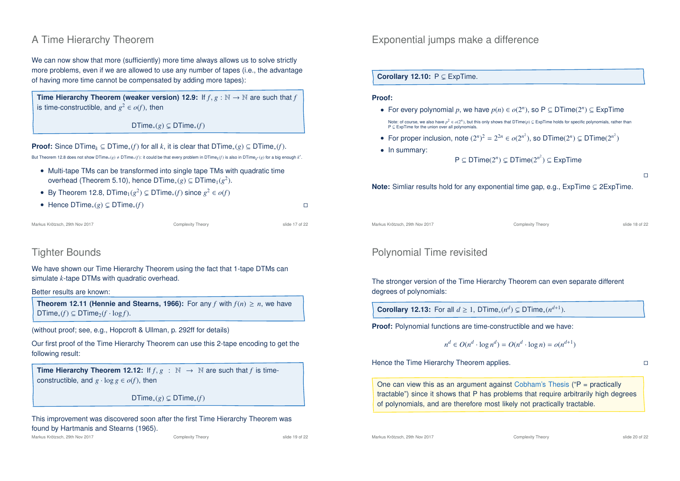# A Time Hierarchy Theorem

We can now show that more (sufficiently) more time always allows us to solve strictly more problems, even if we are allowed to use any number of tapes (i.e., the advantage of having more time cannot be compensated by adding more tapes):

**Time Hierarchy Theorem (weaker version) 12.9:** If  $f, g : \mathbb{N} \to \mathbb{N}$  are such that  $f$ is time-constructible, and  $g^2 \in o(f)$ , then

DTime<sub>∗</sub>(*g*) ⊂ DTime<sub>∗</sub>(*f*)

**Proof:** Since DTime<sub>k</sub> ⊆ DTime<sub>\*</sub>(*f*) for all *k*, it is clear that DTime<sub>\*</sub>(*g*) ⊆ DTime<sub>\*</sub>(*f*).  ${\sf But Theorem~12.8 does not show  ${\sf DTime}_*(g) \neq {\sf DTime}_*(f)$ : it could be that every problem in  ${\sf DTime}_k(f)$  is also in  ${\sf DTime}_{k'}(g)$  for a big enough  $k'.$$ 

- Multi-tape TMs can be transformed into single tape TMs with quadratic time overhead (Theorem 5.10), hence DTime<sub>\*</sub> $(g) \subseteq$  DTime<sub>1</sub> $(g^2)$ .
- By Theorem 12.8, DTime<sub>1</sub>( $g^2$ )  $\subsetneq$  DTime<sub>\*</sub>(*f*) since  $g^2 \in o(f)$
- Hence DTime∗(*g*) ( DTime∗(*f*)

Markus Krötzsch, 29th Nov 2017 Complexity Theory slide 17 of 22

# Tighter Bounds

We have shown our Time Hierarchy Theorem using the fact that 1-tape DTMs can simulate *k*-tape DTMs with quadratic overhead.

Better results are known:

**Theorem 12.11 (Hennie and Stearns, 1966):** For any *f* with  $f(n) \ge n$ , we have  $DTime_*(f) \subseteq DTime_2(f \cdot log f).$ 

(without proof; see, e.g., Hopcroft & Ullman, p. 292ff for details)

Our first proof of the Time Hierarchy Theorem can use this 2-tape encoding to get the following result:

**Time Hierarchy Theorem 12.12:** If  $f, g : \mathbb{N} \to \mathbb{N}$  are such that *f* is timeconstructible, and  $g \cdot \log g \in o(f)$ , then

 $DTime_*(g) \subseteq DTime_*(f)$ 

This improvement was discovered soon after the first Time Hierarchy Theorem was found by Hartmanis and Stearns (1965).

Markus Krötzsch, 29th Nov 2017 **Complexity Theory** Complexity Theory slide 19 of 22

Exponential jumps make a difference

#### **Corollary 12.10:**  $P \subseteq ExpTime$ .

#### **Proof:**

- For every polynomial  $p$ , we have  $p(n) \in o(2^n)$ , so  $P \subseteq DTime(2^n) \subseteq ExpTime$ Note: of course, we also have  $p^2 \in o(2^n)$ , but this only shows that DTime(*p*) ⊊ ExpTime holds for specific polynomials, rather than  $P \subseteq$  ExpTime for the union over all polynomials.
- For proper inclusion, note  $(2^n)^2 = 2^{2n} \in o(2^{n^2})$ , so DTime $(2^n) \subsetneq$  DTime $(2^{n^2})$
- In summary:

 $P \subseteq DTime(2^n) \subsetneq DTime(2^{n^2}) \subseteq ExpTime$ 

**Note:** Simliar results hold for any exponential time gap, e.g.,  $ExpTime \subseteq 2ExpTime$ .

Markus Krötzsch, 29th Nov 2017 Complexity Theory slide 18 of 22

# Polynomial Time revisited

The stronger version of the Time Hierarchy Theorem can even separate different degrees of polynomials:

**Corollary 12.13:** For all  $d \ge 1$ , DTime<sub>\*</sub> $(n^d) \subsetneq$  DTime<sub>\*</sub> $(n^{d+1})$ .

**Proof:** Polynomial functions are time-constructible and we have:

$$
n^d \in O(n^d \cdot \log n^d) = O(n^d \cdot \log n) = o(n^{d+1})
$$

Hence the Time Hierarchy Theorem applies.  $\square$ 

One can view this as an argument against Cobham's Thesis ( $P =$  practically tractable") since it shows that P has problems that require arbitrarily high degrees of polynomials, and are therefore most likely not practically tractable.

Markus Krötzsch, 29th Nov 2017 **Complexity Theory** Complexity Theory slide 20 of 22